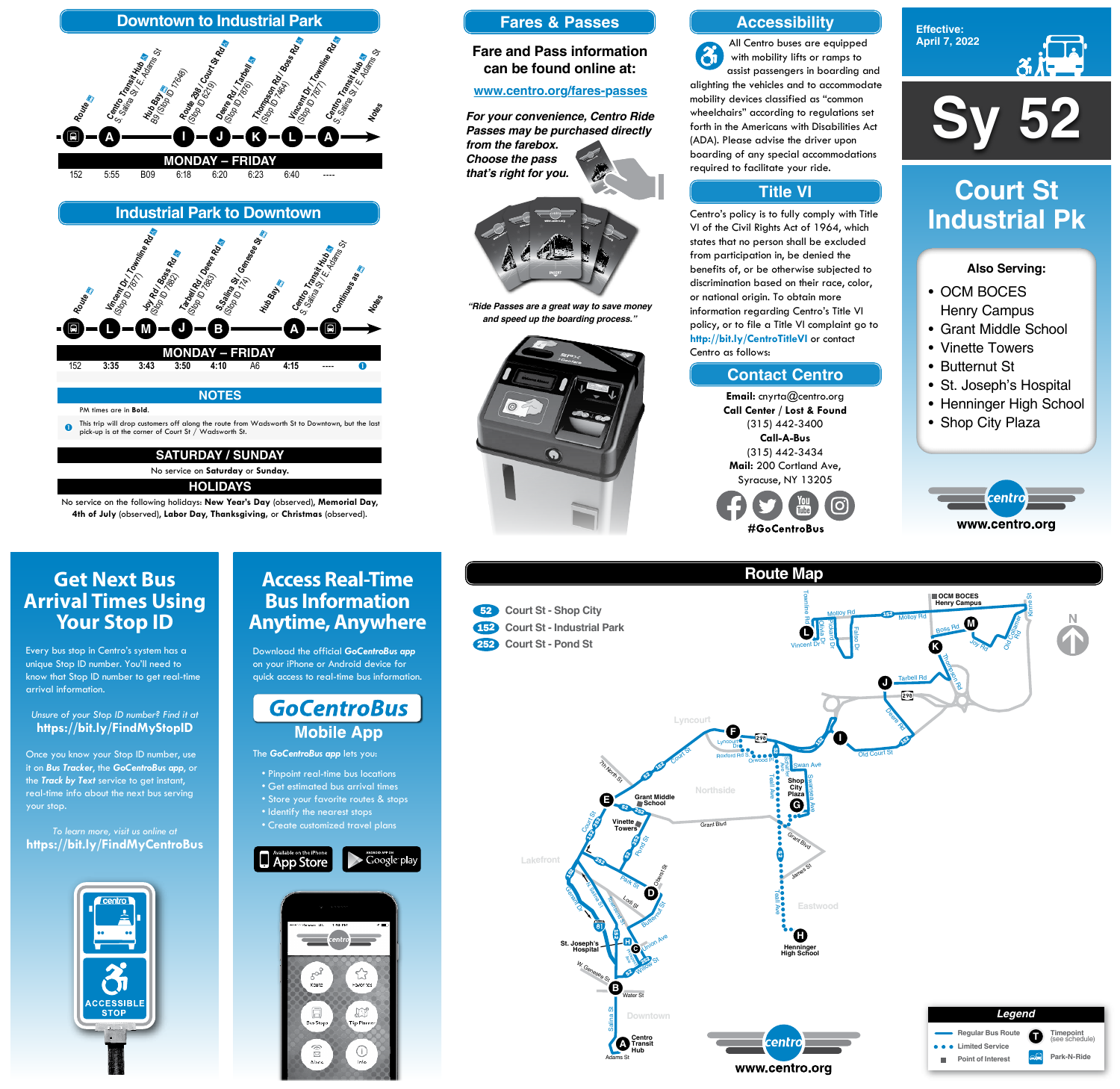



- OCM BOCES Henry Campus
- Grant Middle School
- Vinette Towers
- Butternut St
- St. Joseph's Hospital
- Henninger High School
- Shop City Plaza



### **Also Serving:**

# **Court St Industrial Pk**

# **Get Next Bus Arrival Times Using Your Stop ID**

Every bus stop in Centro's system has a unique Stop ID number. You'll need to know that Stop ID number to get real-time arrival information.

#### *Unsure of your Stop ID number? Find it at* **https://bit.ly/FindMyStopID**

Once you know your Stop ID number, use it on *Bus Tracker*, the *GoCentroBus app*, or the *Track by Text* service to get instant, real-time info about the next bus serving your stop.

#### *To learn more, visit us online at* **https://bit.ly/FindMyCentroBus**



# **Access Real-Time Bus Information Anytime, Anywhere**

Download the official *GoCentroBus app* on your iPhone or Android device for quick access to real-time bus information.



The *GoCentroBus app* lets you:

- Pinpoint real-time bus locations
- Get estimated bus arrival times
- ore your favorite routes & stops
- Identify the nearest stops
- Create customized travel plans











No service on the following holidays: **New Year's Day** (observed), **Memorial Day**, **4th of July** (observed), **Labor Day**, **Thanksgiving,** or **Christmas** (observed).

### **Accessibility**

## **Contact Centro**

### **Title VI**

All Centro buses are equipped  $\mathbf{\hat{a}}$ with mobility lifts or ramps to assist passengers in boarding and alighting the vehicles and to accommodate mobility devices classified as "common wheelchairs" according to regulations set forth in the Americans with Disabilities Act (ADA). Please advise the driver upon boarding of any special accommodations required to facilitate your ride.

Centro's policy is to fully comply with Title VI of the Civil Rights Act of 1964, which states that no person shall be excluded from participation in, be denied the benefits of, or be otherwise subjected to discrimination based on their race, color, or national origin. To obtain more information regarding Centro's Title VI policy, or to file a Title VI complaint go to **http://bit.ly/CentroTitleVI** or contact Centro as follows:

> **Email:** cnyrta@centro.org **Call Center / Lost & Found** (315) 442-3400 **Call-A-Bus** (315) 442-3434 **Mail:** 200 Cortland Ave, Syracuse, NY 13205



### **Fares & Passes**

#### **Fare and Pass information can be found online at:**

#### **www.centro.org/fares-passes**

*"Ride Passes are a great way to save money and speed up the boarding process."*



*For your convenience, Centro Ride Passes may be purchased directly from the farebox. Choose the pass that's right for you.*